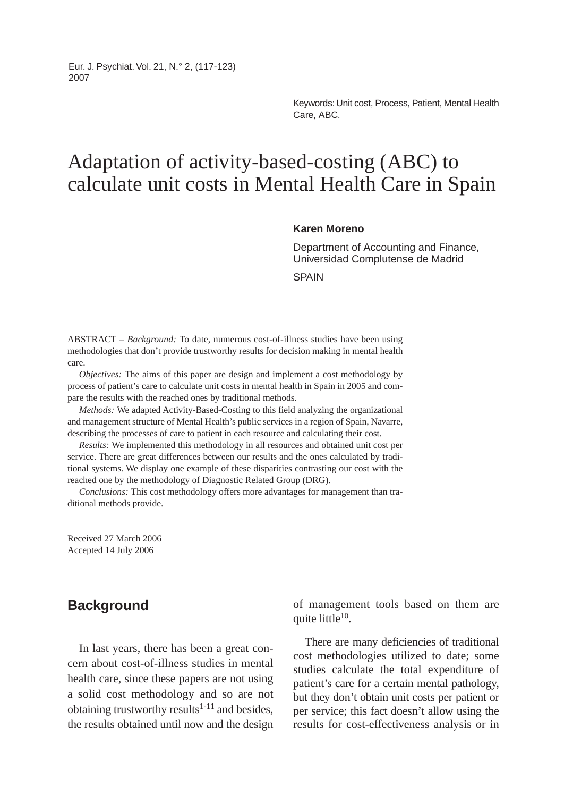Eur. J. Psychiat. Vol. 21, N.° 2, (117-123) 2007

> Keywords: Unit cost, Process, Patient, Mental Health Care, ABC.

# Adaptation of activity-based-costing (ABC) to calculate unit costs in Mental Health Care in Spain

#### **Karen Moreno**

Department of Accounting and Finance, Universidad Complutense de Madrid

**SPAIN** 

ABSTRACT – *Background:* To date, numerous cost-of-illness studies have been using methodologies that don't provide trustworthy results for decision making in mental health care.

*Objectives:* The aims of this paper are design and implement a cost methodology by process of patient's care to calculate unit costs in mental health in Spain in 2005 and compare the results with the reached ones by traditional methods.

*Methods:* We adapted Activity-Based-Costing to this field analyzing the organizational and management structure of Mental Health's public services in a region of Spain, Navarre, describing the processes of care to patient in each resource and calculating their cost.

*Results:* We implemented this methodology in all resources and obtained unit cost per service. There are great differences between our results and the ones calculated by traditional systems. We display one example of these disparities contrasting our cost with the reached one by the methodology of Diagnostic Related Group (DRG).

*Conclusions:* This cost methodology offers more advantages for management than traditional methods provide.

Received 27 March 2006 Accepted 14 July 2006

## **Background**

In last years, there has been a great concern about cost-of-illness studies in mental health care, since these papers are not using a solid cost methodology and so are not obtaining trustworthy results $1-11$  and besides, the results obtained until now and the design of management tools based on them are quite little<sup>10</sup>.

There are many deficiencies of traditional cost methodologies utilized to date; some studies calculate the total expenditure of patient's care for a certain mental pathology, but they don't obtain unit costs per patient or per service; this fact doesn't allow using the results for cost-effectiveness analysis or in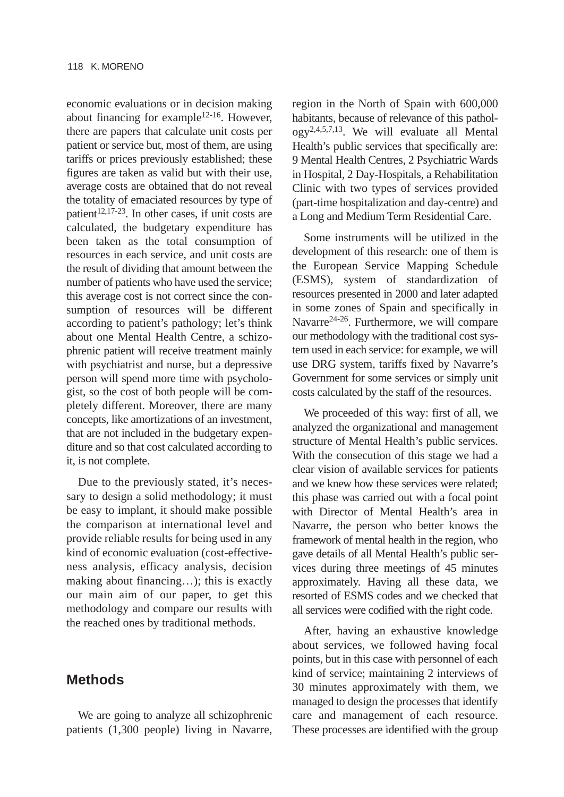economic evaluations or in decision making about financing for example<sup>12-16</sup>. However, there are papers that calculate unit costs per patient or service but, most of them, are using tariffs or prices previously established; these figures are taken as valid but with their use, average costs are obtained that do not reveal the totality of emaciated resources by type of patient $12,17-23$ . In other cases, if unit costs are calculated, the budgetary expenditure has been taken as the total consumption of resources in each service, and unit costs are the result of dividing that amount between the number of patients who have used the service; this average cost is not correct since the consumption of resources will be different according to patient's pathology; let's think about one Mental Health Centre, a schizophrenic patient will receive treatment mainly with psychiatrist and nurse, but a depressive person will spend more time with psychologist, so the cost of both people will be completely different. Moreover, there are many concepts, like amortizations of an investment, that are not included in the budgetary expenditure and so that cost calculated according to it, is not complete.

Due to the previously stated, it's necessary to design a solid methodology; it must be easy to implant, it should make possible the comparison at international level and provide reliable results for being used in any kind of economic evaluation (cost-effectiveness analysis, efficacy analysis, decision making about financing…); this is exactly our main aim of our paper, to get this methodology and compare our results with the reached ones by traditional methods.

# **Methods**

We are going to analyze all schizophrenic patients (1,300 people) living in Navarre, region in the North of Spain with 600,000 habitants, because of relevance of this pathology2,4,5,7,13. We will evaluate all Mental Health's public services that specifically are: 9 Mental Health Centres, 2 Psychiatric Wards in Hospital, 2 Day-Hospitals, a Rehabilitation Clinic with two types of services provided (part-time hospitalization and day-centre) and a Long and Medium Term Residential Care.

Some instruments will be utilized in the development of this research: one of them is the European Service Mapping Schedule (ESMS), system of standardization of resources presented in 2000 and later adapted in some zones of Spain and specifically in Navarre24-26. Furthermore, we will compare our methodology with the traditional cost system used in each service: for example, we will use DRG system, tariffs fixed by Navarre's Government for some services or simply unit costs calculated by the staff of the resources.

We proceeded of this way: first of all, we analyzed the organizational and management structure of Mental Health's public services. With the consecution of this stage we had a clear vision of available services for patients and we knew how these services were related; this phase was carried out with a focal point with Director of Mental Health's area in Navarre, the person who better knows the framework of mental health in the region, who gave details of all Mental Health's public services during three meetings of 45 minutes approximately. Having all these data, we resorted of ESMS codes and we checked that all services were codified with the right code.

After, having an exhaustive knowledge about services, we followed having focal points, but in this case with personnel of each kind of service; maintaining 2 interviews of 30 minutes approximately with them, we managed to design the processes that identify care and management of each resource. These processes are identified with the group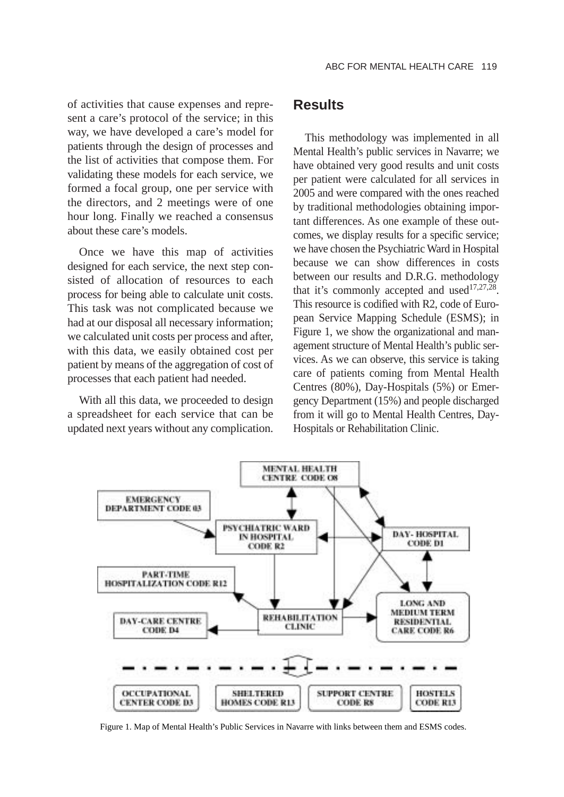of activities that cause expenses and represent a care's protocol of the service; in this way, we have developed a care's model for patients through the design of processes and the list of activities that compose them. For validating these models for each service, we formed a focal group, one per service with the directors, and 2 meetings were of one hour long. Finally we reached a consensus about these care's models.

Once we have this map of activities designed for each service, the next step consisted of allocation of resources to each process for being able to calculate unit costs. This task was not complicated because we had at our disposal all necessary information; we calculated unit costs per process and after, with this data, we easily obtained cost per patient by means of the aggregation of cost of processes that each patient had needed.

With all this data, we proceeded to design a spreadsheet for each service that can be updated next years without any complication.

# **Results**

This methodology was implemented in all Mental Health's public services in Navarre; we have obtained very good results and unit costs per patient were calculated for all services in 2005 and were compared with the ones reached by traditional methodologies obtaining important differences. As one example of these outcomes, we display results for a specific service; we have chosen the Psychiatric Ward in Hospital because we can show differences in costs between our results and D.R.G. methodology that it's commonly accepted and used $17,27,28$ . This resource is codified with R2, code of European Service Mapping Schedule (ESMS); in Figure 1, we show the organizational and management structure of Mental Health's public services. As we can observe, this service is taking care of patients coming from Mental Health Centres (80%), Day-Hospitals (5%) or Emergency Department (15%) and people discharged from it will go to Mental Health Centres, Day-Hospitals or Rehabilitation Clinic.



Figure 1. Map of Mental Health's Public Services in Navarre with links between them and ESMS codes.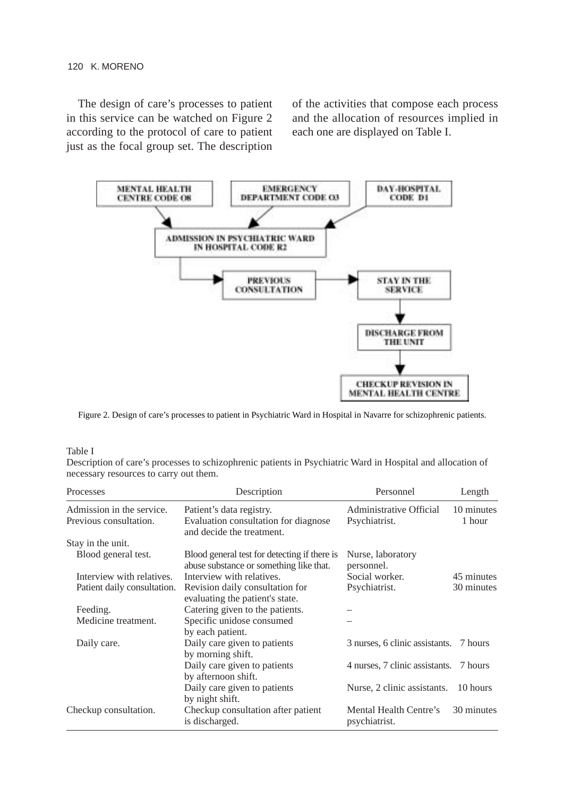#### 120 K. MORENO

The design of care's processes to patient in this service can be watched on Figure 2 according to the protocol of care to patient just as the focal group set. The description

of the activities that compose each process and the allocation of resources implied in each one are displayed on Table I.



Figure 2. Design of care's processes to patient in Psychiatric Ward in Hospital in Navarre for schizophrenic patients.

#### Table I

Description of care's processes to schizophrenic patients in Psychiatric Ward in Hospital and allocation of necessary resources to carry out them.

| Processes                   | Description                                                                             | Personnel                               | Length     |
|-----------------------------|-----------------------------------------------------------------------------------------|-----------------------------------------|------------|
| Admission in the service.   | Patient's data registry.                                                                | Administrative Official                 | 10 minutes |
| Previous consultation.      | Evaluation consultation for diagnose<br>and decide the treatment.                       | Psychiatrist.                           | 1 hour     |
| Stay in the unit.           |                                                                                         |                                         |            |
| Blood general test.         | Blood general test for detecting if there is<br>abuse substance or something like that. | Nurse, laboratory<br>personnel.         |            |
| Interview with relatives.   | Interview with relatives.                                                               | Social worker.                          | 45 minutes |
| Patient daily consultation. | Revision daily consultation for<br>evaluating the patient's state.                      | Psychiatrist.                           | 30 minutes |
| Feeding.                    | Catering given to the patients.                                                         |                                         |            |
| Medicine treatment.         | Specific unidose consumed<br>by each patient.                                           |                                         |            |
| Daily care.                 | Daily care given to patients<br>by morning shift.                                       | 3 nurses, 6 clinic assistants.          | 7 hours    |
|                             | Daily care given to patients<br>by afternoon shift.                                     | 4 nurses, 7 clinic assistants.          | 7 hours    |
|                             | Daily care given to patients<br>by night shift.                                         | Nurse, 2 clinic assistants.             | 10 hours   |
| Checkup consultation.       | Checkup consultation after patient<br>is discharged.                                    | Mental Health Centre's<br>psychiatrist. | 30 minutes |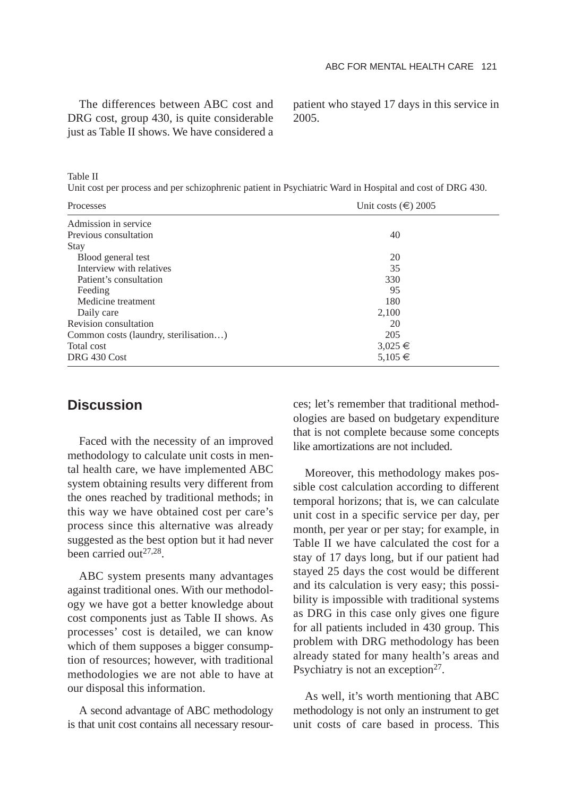The differences between ABC cost and DRG cost, group 430, is quite considerable just as Table II shows. We have considered a patient who stayed 17 days in this service in 2005.

Table II

Unit cost per process and per schizophrenic patient in Psychiatric Ward in Hospital and cost of DRG 430.

| Processes                             | Unit costs $(\epsilon)$ 2005 |  |
|---------------------------------------|------------------------------|--|
| Admission in service                  |                              |  |
| Previous consultation                 | 40                           |  |
| Stay                                  |                              |  |
| Blood general test                    | 20                           |  |
| Interview with relatives              | 35                           |  |
| Patient's consultation                | 330                          |  |
| Feeding                               | 95                           |  |
| Medicine treatment                    | 180                          |  |
| Daily care                            | 2,100                        |  |
| Revision consultation                 | 20                           |  |
| Common costs (laundry, sterilisation) | 205                          |  |
| Total cost                            | $3,025 \in$                  |  |
| DRG 430 Cost                          | 5,105 €                      |  |

## **Discussion**

Faced with the necessity of an improved methodology to calculate unit costs in mental health care, we have implemented ABC system obtaining results very different from the ones reached by traditional methods; in this way we have obtained cost per care's process since this alternative was already suggested as the best option but it had never been carried out<sup>27,28</sup>.

ABC system presents many advantages against traditional ones. With our methodology we have got a better knowledge about cost components just as Table II shows. As processes' cost is detailed, we can know which of them supposes a bigger consumption of resources; however, with traditional methodologies we are not able to have at our disposal this information.

A second advantage of ABC methodology is that unit cost contains all necessary resources; let's remember that traditional methodologies are based on budgetary expenditure that is not complete because some concepts like amortizations are not included.

Moreover, this methodology makes possible cost calculation according to different temporal horizons; that is, we can calculate unit cost in a specific service per day, per month, per year or per stay; for example, in Table II we have calculated the cost for a stay of 17 days long, but if our patient had stayed 25 days the cost would be different and its calculation is very easy; this possibility is impossible with traditional systems as DRG in this case only gives one figure for all patients included in 430 group. This problem with DRG methodology has been already stated for many health's areas and Psychiatry is not an exception<sup>27</sup>.

As well, it's worth mentioning that ABC methodology is not only an instrument to get unit costs of care based in process. This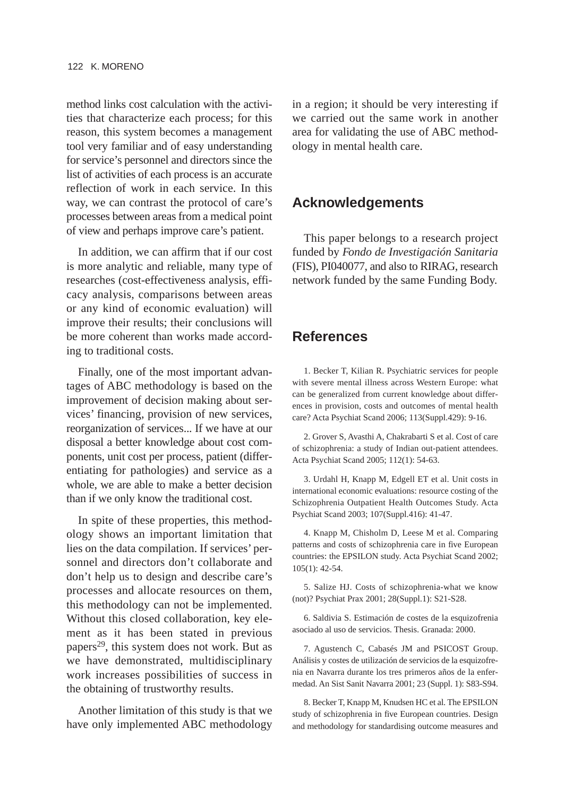method links cost calculation with the activities that characterize each process; for this reason, this system becomes a management tool very familiar and of easy understanding for service's personnel and directors since the list of activities of each process is an accurate reflection of work in each service. In this way, we can contrast the protocol of care's processes between areas from a medical point of view and perhaps improve care's patient.

In addition, we can affirm that if our cost is more analytic and reliable, many type of researches (cost-effectiveness analysis, efficacy analysis, comparisons between areas or any kind of economic evaluation) will improve their results; their conclusions will be more coherent than works made according to traditional costs.

Finally, one of the most important advantages of ABC methodology is based on the improvement of decision making about services' financing, provision of new services, reorganization of services... If we have at our disposal a better knowledge about cost components, unit cost per process, patient (differentiating for pathologies) and service as a whole, we are able to make a better decision than if we only know the traditional cost.

In spite of these properties, this methodology shows an important limitation that lies on the data compilation. If services' personnel and directors don't collaborate and don't help us to design and describe care's processes and allocate resources on them, this methodology can not be implemented. Without this closed collaboration, key element as it has been stated in previous papers<sup>29</sup>, this system does not work. But as we have demonstrated, multidisciplinary work increases possibilities of success in the obtaining of trustworthy results.

Another limitation of this study is that we have only implemented ABC methodology

in a region; it should be very interesting if we carried out the same work in another area for validating the use of ABC methodology in mental health care.

# **Acknowledgements**

This paper belongs to a research project funded by *Fondo de Investigación Sanitaria* (FIS), PI040077, and also to RIRAG, research network funded by the same Funding Body.

# **References**

1. Becker T, Kilian R. Psychiatric services for people with severe mental illness across Western Europe: what can be generalized from current knowledge about differences in provision, costs and outcomes of mental health care? Acta Psychiat Scand 2006; 113(Suppl.429): 9-16.

2. Grover S, Avasthi A, Chakrabarti S et al. Cost of care of schizophrenia: a study of Indian out-patient attendees. Acta Psychiat Scand 2005; 112(1): 54-63.

3. Urdahl H, Knapp M, Edgell ET et al. Unit costs in international economic evaluations: resource costing of the Schizophrenia Outpatient Health Outcomes Study. Acta Psychiat Scand 2003; 107(Suppl.416): 41-47.

4. Knapp M, Chisholm D, Leese M et al. Comparing patterns and costs of schizophrenia care in five European countries: the EPSILON study. Acta Psychiat Scand 2002; 105(1): 42-54.

5. Salize HJ. Costs of schizophrenia-what we know (not)? Psychiat Prax 2001; 28(Suppl.1): S21-S28.

6. Saldivia S. Estimación de costes de la esquizofrenia asociado al uso de servicios. Thesis. Granada: 2000.

7. Agustench C, Cabasés JM and PSICOST Group. Análisis y costes de utilización de servicios de la esquizofrenia en Navarra durante los tres primeros años de la enfermedad. An Sist Sanit Navarra 2001; 23 (Suppl. 1): S83-S94.

8. Becker T, Knapp M, Knudsen HC et al. The EPSILON study of schizophrenia in five European countries. Design and methodology for standardising outcome measures and